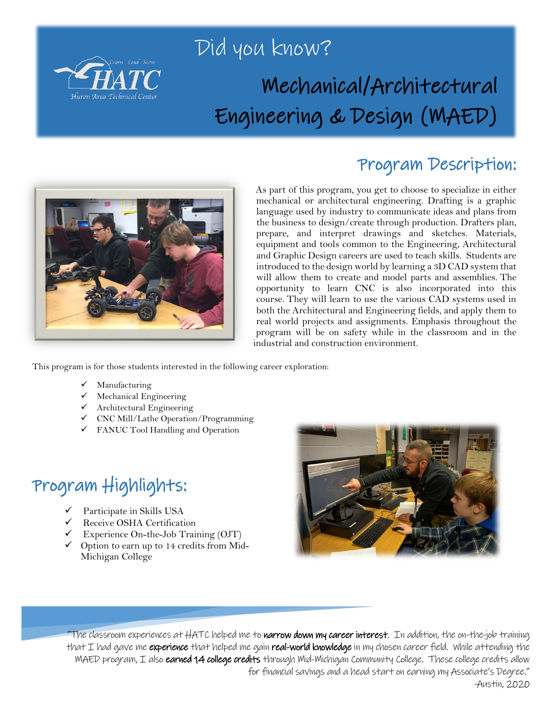

## Did you know? Mechanical/Architectural Engineering & Design (MAED)



#### Program Description:

As part of this program, you get to choose to specialize in either mechanical or architectural engineering. Drafting is a graphic language used by industry to communicate ideas and plans from the business to design/create through production. Drafters plan, prepare, and interpret drawings and sketches. Materials, equipment and tools common to the Engineering, Architectural and Graphic Design careers are used to teach skills. Students are introduced to the design world by learning a 3D CAD system that will allow them to create and model parts and assemblies. The opportunity to learn CNC is also incorporated into this course. They will learn to use the various CAD systems used in both the Architectural and Engineering fields, and apply them to real world projects and assignments. Emphasis throughout the program will be on safety while in the classroom and in the industrial and construction environment.

This program is for those students interested in the following career exploration:

- $\checkmark$  Manufacturing
- $\checkmark$  Mechanical Engineering
- $\checkmark$  Architectural Engineering
- $\checkmark$  CNC Mill/Lathe Operation/Programming
- FANUC Tool Handling and Operation

## Program Highlights:

- Participate in Skills USA
- Receive OSHA Certification
- $\checkmark$  Experience On-the-Job Training (OJT)
- $\checkmark$  Option to earn up to 14 credits from Mid-Michigan College



"The classroom experiences at HATC helped me to **narrow down my career interest**. In addition, the on-the-job training that I had gave me experience that helped me gain real-world knowledge in my chosen career field. While attending the MAED program, I also **earned 14 college credits** through Mid-Michigan Community College. These college credits allow for financial savings and a head start on earning my Associate's Degree."